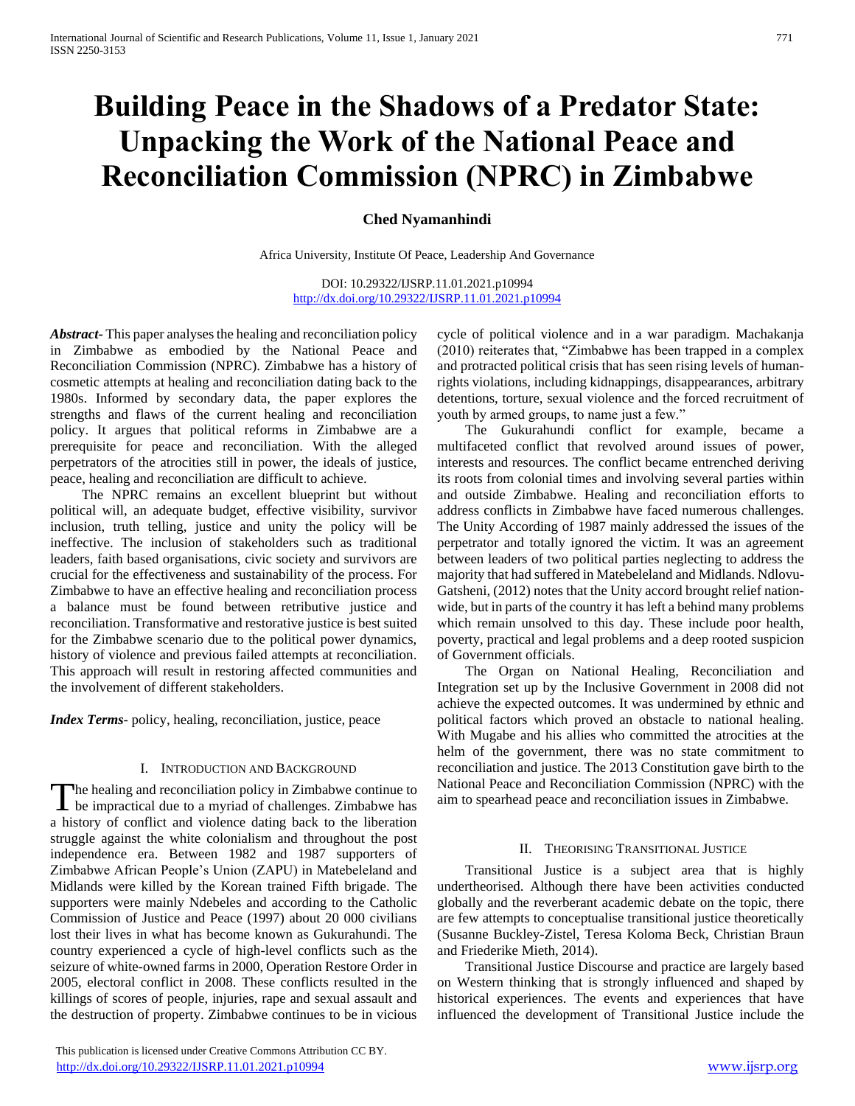# **Building Peace in the Shadows of a Predator State: Unpacking the Work of the National Peace and Reconciliation Commission (NPRC) in Zimbabwe**

# **Ched Nyamanhindi**

Africa University, Institute Of Peace, Leadership And Governance

DOI: 10.29322/IJSRP.11.01.2021.p10994 <http://dx.doi.org/10.29322/IJSRP.11.01.2021.p10994>

*Abstract***-** This paper analyses the healing and reconciliation policy in Zimbabwe as embodied by the National Peace and Reconciliation Commission (NPRC). Zimbabwe has a history of cosmetic attempts at healing and reconciliation dating back to the 1980s. Informed by secondary data, the paper explores the strengths and flaws of the current healing and reconciliation policy. It argues that political reforms in Zimbabwe are a prerequisite for peace and reconciliation. With the alleged perpetrators of the atrocities still in power, the ideals of justice, peace, healing and reconciliation are difficult to achieve.

 The NPRC remains an excellent blueprint but without political will, an adequate budget, effective visibility, survivor inclusion, truth telling, justice and unity the policy will be ineffective. The inclusion of stakeholders such as traditional leaders, faith based organisations, civic society and survivors are crucial for the effectiveness and sustainability of the process. For Zimbabwe to have an effective healing and reconciliation process a balance must be found between retributive justice and reconciliation. Transformative and restorative justice is best suited for the Zimbabwe scenario due to the political power dynamics, history of violence and previous failed attempts at reconciliation. This approach will result in restoring affected communities and the involvement of different stakeholders.

*Index Terms*- policy, healing, reconciliation, justice, peace

#### I. INTRODUCTION AND BACKGROUND

The healing and reconciliation policy in Zimbabwe continue to The healing and reconciliation policy in Zimbabwe continue to be impractical due to a myriad of challenges. Zimbabwe has a history of conflict and violence dating back to the liberation struggle against the white colonialism and throughout the post independence era. Between 1982 and 1987 supporters of Zimbabwe African People's Union (ZAPU) in Matebeleland and Midlands were killed by the Korean trained Fifth brigade. The supporters were mainly Ndebeles and according to the Catholic Commission of Justice and Peace (1997) about 20 000 civilians lost their lives in what has become known as Gukurahundi. The country experienced a cycle of high-level conflicts such as the seizure of white-owned farms in 2000, Operation Restore Order in 2005, electoral conflict in 2008. These conflicts resulted in the killings of scores of people, injuries, rape and sexual assault and the destruction of property. Zimbabwe continues to be in vicious

cycle of political violence and in a war paradigm. Machakanja (2010) reiterates that, "Zimbabwe has been trapped in a complex and protracted political crisis that has seen rising levels of humanrights violations, including kidnappings, disappearances, arbitrary detentions, torture, sexual violence and the forced recruitment of youth by armed groups, to name just a few."

 The Gukurahundi conflict for example, became a multifaceted conflict that revolved around issues of power, interests and resources. The conflict became entrenched deriving its roots from colonial times and involving several parties within and outside Zimbabwe. Healing and reconciliation efforts to address conflicts in Zimbabwe have faced numerous challenges. The Unity According of 1987 mainly addressed the issues of the perpetrator and totally ignored the victim. It was an agreement between leaders of two political parties neglecting to address the majority that had suffered in Matebeleland and Midlands. Ndlovu-Gatsheni, (2012) notes that the Unity accord brought relief nationwide, but in parts of the country it has left a behind many problems which remain unsolved to this day. These include poor health, poverty, practical and legal problems and a deep rooted suspicion of Government officials.

 The Organ on National Healing, Reconciliation and Integration set up by the Inclusive Government in 2008 did not achieve the expected outcomes. It was undermined by ethnic and political factors which proved an obstacle to national healing. With Mugabe and his allies who committed the atrocities at the helm of the government, there was no state commitment to reconciliation and justice. The 2013 Constitution gave birth to the National Peace and Reconciliation Commission (NPRC) with the aim to spearhead peace and reconciliation issues in Zimbabwe.

#### II. THEORISING TRANSITIONAL JUSTICE

 Transitional Justice is a subject area that is highly undertheorised. Although there have been activities conducted globally and the reverberant academic debate on the topic, there are few attempts to conceptualise transitional justice theoretically (Susanne Buckley-Zistel, Teresa Koloma Beck, Christian Braun and Friederike Mieth, 2014).

 Transitional Justice Discourse and practice are largely based on Western thinking that is strongly influenced and shaped by historical experiences. The events and experiences that have influenced the development of Transitional Justice include the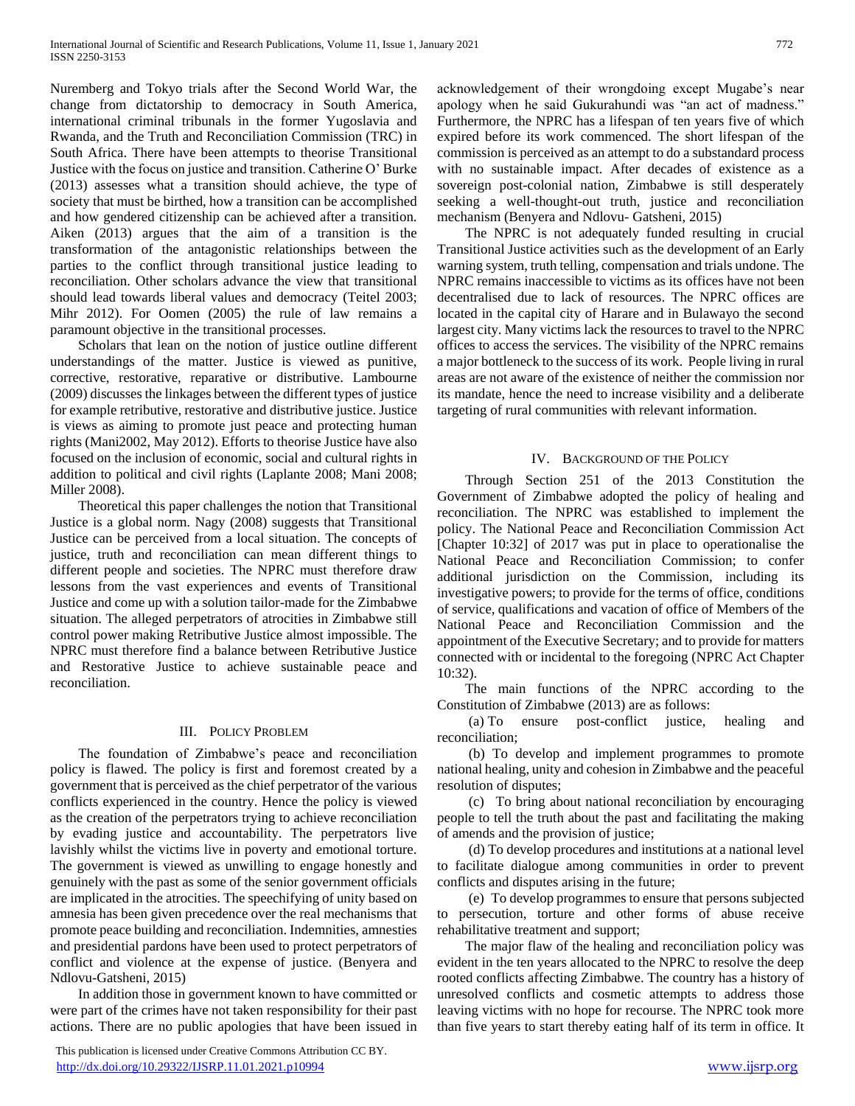Nuremberg and Tokyo trials after the Second World War, the change from dictatorship to democracy in South America, international criminal tribunals in the former Yugoslavia and Rwanda, and the Truth and Reconciliation Commission (TRC) in South Africa. There have been attempts to theorise Transitional Justice with the focus on justice and transition. Catherine O' Burke (2013) assesses what a transition should achieve, the type of society that must be birthed, how a transition can be accomplished and how gendered citizenship can be achieved after a transition. Aiken (2013) argues that the aim of a transition is the transformation of the antagonistic relationships between the parties to the conflict through transitional justice leading to reconciliation. Other scholars advance the view that transitional should lead towards liberal values and democracy (Teitel 2003; Mihr 2012). For Oomen (2005) the rule of law remains a paramount objective in the transitional processes.

 Scholars that lean on the notion of justice outline different understandings of the matter. Justice is viewed as punitive, corrective, restorative, reparative or distributive. Lambourne (2009) discusses the linkages between the different types of justice for example retributive, restorative and distributive justice. Justice is views as aiming to promote just peace and protecting human rights (Mani2002, May 2012). Efforts to theorise Justice have also focused on the inclusion of economic, social and cultural rights in addition to political and civil rights (Laplante 2008; Mani 2008; Miller 2008).

 Theoretical this paper challenges the notion that Transitional Justice is a global norm. Nagy (2008) suggests that Transitional Justice can be perceived from a local situation. The concepts of justice, truth and reconciliation can mean different things to different people and societies. The NPRC must therefore draw lessons from the vast experiences and events of Transitional Justice and come up with a solution tailor-made for the Zimbabwe situation. The alleged perpetrators of atrocities in Zimbabwe still control power making Retributive Justice almost impossible. The NPRC must therefore find a balance between Retributive Justice and Restorative Justice to achieve sustainable peace and reconciliation.

## III. POLICY PROBLEM

 The foundation of Zimbabwe's peace and reconciliation policy is flawed. The policy is first and foremost created by a government that is perceived as the chief perpetrator of the various conflicts experienced in the country. Hence the policy is viewed as the creation of the perpetrators trying to achieve reconciliation by evading justice and accountability. The perpetrators live lavishly whilst the victims live in poverty and emotional torture. The government is viewed as unwilling to engage honestly and genuinely with the past as some of the senior government officials are implicated in the atrocities. The speechifying of unity based on amnesia has been given precedence over the real mechanisms that promote peace building and reconciliation. Indemnities, amnesties and presidential pardons have been used to protect perpetrators of conflict and violence at the expense of justice. (Benyera and Ndlovu-Gatsheni, 2015)

 In addition those in government known to have committed or were part of the crimes have not taken responsibility for their past actions. There are no public apologies that have been issued in

 This publication is licensed under Creative Commons Attribution CC BY. <http://dx.doi.org/10.29322/IJSRP.11.01.2021.p10994> [www.ijsrp.org](http://ijsrp.org/)

acknowledgement of their wrongdoing except Mugabe's near apology when he said Gukurahundi was "an act of madness." Furthermore, the NPRC has a lifespan of ten years five of which expired before its work commenced. The short lifespan of the commission is perceived as an attempt to do a substandard process with no sustainable impact. After decades of existence as a sovereign post-colonial nation, Zimbabwe is still desperately seeking a well-thought-out truth, justice and reconciliation mechanism (Benyera and Ndlovu- Gatsheni, 2015)

 The NPRC is not adequately funded resulting in crucial Transitional Justice activities such as the development of an Early warning system, truth telling, compensation and trials undone. The NPRC remains inaccessible to victims as its offices have not been decentralised due to lack of resources. The NPRC offices are located in the capital city of Harare and in Bulawayo the second largest city. Many victims lack the resources to travel to the NPRC offices to access the services. The visibility of the NPRC remains a major bottleneck to the success of its work. People living in rural areas are not aware of the existence of neither the commission nor its mandate, hence the need to increase visibility and a deliberate targeting of rural communities with relevant information.

## IV. BACKGROUND OF THE POLICY

 Through Section 251 of the 2013 Constitution the Government of Zimbabwe adopted the policy of healing and reconciliation. The NPRC was established to implement the policy. The National Peace and Reconciliation Commission Act [Chapter 10:32] of 2017 was put in place to operationalise the National Peace and Reconciliation Commission; to confer additional jurisdiction on the Commission, including its investigative powers; to provide for the terms of office, conditions of service, qualifications and vacation of office of Members of the National Peace and Reconciliation Commission and the appointment of the Executive Secretary; and to provide for matters connected with or incidental to the foregoing (NPRC Act Chapter 10:32).

 The main functions of the NPRC according to the Constitution of Zimbabwe (2013) are as follows:

 (a) To ensure post-conflict justice, healing and reconciliation;

 (b) To develop and implement programmes to promote national healing, unity and cohesion in Zimbabwe and the peaceful resolution of disputes;

 (c) To bring about national reconciliation by encouraging people to tell the truth about the past and facilitating the making of amends and the provision of justice;

 (d) To develop procedures and institutions at a national level to facilitate dialogue among communities in order to prevent conflicts and disputes arising in the future;

 (e) To develop programmes to ensure that persons subjected to persecution, torture and other forms of abuse receive rehabilitative treatment and support;

 The major flaw of the healing and reconciliation policy was evident in the ten years allocated to the NPRC to resolve the deep rooted conflicts affecting Zimbabwe. The country has a history of unresolved conflicts and cosmetic attempts to address those leaving victims with no hope for recourse. The NPRC took more than five years to start thereby eating half of its term in office. It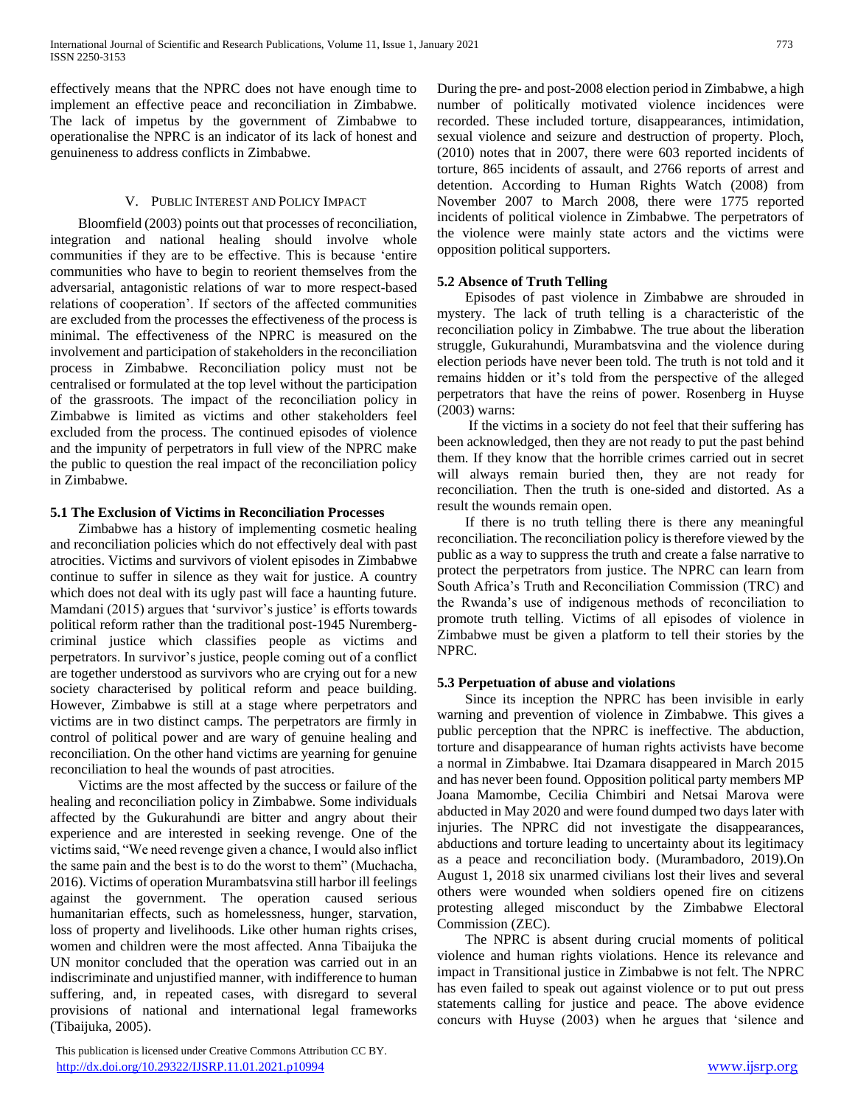effectively means that the NPRC does not have enough time to implement an effective peace and reconciliation in Zimbabwe. The lack of impetus by the government of Zimbabwe to operationalise the NPRC is an indicator of its lack of honest and genuineness to address conflicts in Zimbabwe.

#### V. PUBLIC INTEREST AND POLICY IMPACT

 Bloomfield (2003) points out that processes of reconciliation, integration and national healing should involve whole communities if they are to be effective. This is because 'entire communities who have to begin to reorient themselves from the adversarial, antagonistic relations of war to more respect-based relations of cooperation'. If sectors of the affected communities are excluded from the processes the effectiveness of the process is minimal. The effectiveness of the NPRC is measured on the involvement and participation of stakeholders in the reconciliation process in Zimbabwe. Reconciliation policy must not be centralised or formulated at the top level without the participation of the grassroots. The impact of the reconciliation policy in Zimbabwe is limited as victims and other stakeholders feel excluded from the process. The continued episodes of violence and the impunity of perpetrators in full view of the NPRC make the public to question the real impact of the reconciliation policy in Zimbabwe.

#### **5.1 The Exclusion of Victims in Reconciliation Processes**

 Zimbabwe has a history of implementing cosmetic healing and reconciliation policies which do not effectively deal with past atrocities. Victims and survivors of violent episodes in Zimbabwe continue to suffer in silence as they wait for justice. A country which does not deal with its ugly past will face a haunting future. Mamdani (2015) argues that 'survivor's justice' is efforts towards political reform rather than the traditional post-1945 Nurembergcriminal justice which classifies people as victims and perpetrators. In survivor's justice, people coming out of a conflict are together understood as survivors who are crying out for a new society characterised by political reform and peace building. However, Zimbabwe is still at a stage where perpetrators and victims are in two distinct camps. The perpetrators are firmly in control of political power and are wary of genuine healing and reconciliation. On the other hand victims are yearning for genuine reconciliation to heal the wounds of past atrocities.

 Victims are the most affected by the success or failure of the healing and reconciliation policy in Zimbabwe. Some individuals affected by the Gukurahundi are bitter and angry about their experience and are interested in seeking revenge. One of the victims said, "We need revenge given a chance, I would also inflict the same pain and the best is to do the worst to them" (Muchacha, 2016). Victims of operation Murambatsvina still harbor ill feelings against the government. The operation caused serious humanitarian effects, such as homelessness, hunger, starvation, loss of property and livelihoods. Like other human rights crises, women and children were the most affected. Anna Tibaijuka the UN monitor concluded that the operation was carried out in an indiscriminate and unjustified manner, with indifference to human suffering, and, in repeated cases, with disregard to several provisions of national and international legal frameworks (Tibaijuka, 2005).

 This publication is licensed under Creative Commons Attribution CC BY. <http://dx.doi.org/10.29322/IJSRP.11.01.2021.p10994> [www.ijsrp.org](http://ijsrp.org/)

During the pre- and post-2008 election period in Zimbabwe, a high number of politically motivated violence incidences were recorded. These included torture, disappearances, intimidation, sexual violence and seizure and destruction of property. Ploch, (2010) notes that in 2007, there were 603 reported incidents of torture, 865 incidents of assault, and 2766 reports of arrest and detention. According to Human Rights Watch (2008) from November 2007 to March 2008, there were 1775 reported incidents of political violence in Zimbabwe. The perpetrators of the violence were mainly state actors and the victims were opposition political supporters.

## **5.2 Absence of Truth Telling**

 Episodes of past violence in Zimbabwe are shrouded in mystery. The lack of truth telling is a characteristic of the reconciliation policy in Zimbabwe. The true about the liberation struggle, Gukurahundi, Murambatsvina and the violence during election periods have never been told. The truth is not told and it remains hidden or it's told from the perspective of the alleged perpetrators that have the reins of power. Rosenberg in Huyse (2003) warns:

 If the victims in a society do not feel that their suffering has been acknowledged, then they are not ready to put the past behind them. If they know that the horrible crimes carried out in secret will always remain buried then, they are not ready for reconciliation. Then the truth is one-sided and distorted. As a result the wounds remain open.

 If there is no truth telling there is there any meaningful reconciliation. The reconciliation policy is therefore viewed by the public as a way to suppress the truth and create a false narrative to protect the perpetrators from justice. The NPRC can learn from South Africa's Truth and Reconciliation Commission (TRC) and the Rwanda's use of indigenous methods of reconciliation to promote truth telling. Victims of all episodes of violence in Zimbabwe must be given a platform to tell their stories by the NPRC.

## **5.3 Perpetuation of abuse and violations**

 Since its inception the NPRC has been invisible in early warning and prevention of violence in Zimbabwe. This gives a public perception that the NPRC is ineffective. The abduction, torture and disappearance of human rights activists have become a normal in Zimbabwe. Itai Dzamara disappeared in March 2015 and has never been found. Opposition political party members MP Joana Mamombe, Cecilia Chimbiri and Netsai Marova were abducted in May 2020 and were found dumped two days later with injuries. The NPRC did not investigate the disappearances, abductions and torture leading to uncertainty about its legitimacy as a peace and reconciliation body. (Murambadoro, 2019).On August 1, 2018 six unarmed civilians lost their lives and several others were wounded when soldiers opened fire on citizens protesting alleged misconduct by the Zimbabwe Electoral Commission (ZEC).

 The NPRC is absent during crucial moments of political violence and human rights violations. Hence its relevance and impact in Transitional justice in Zimbabwe is not felt. The NPRC has even failed to speak out against violence or to put out press statements calling for justice and peace. The above evidence concurs with Huyse (2003) when he argues that 'silence and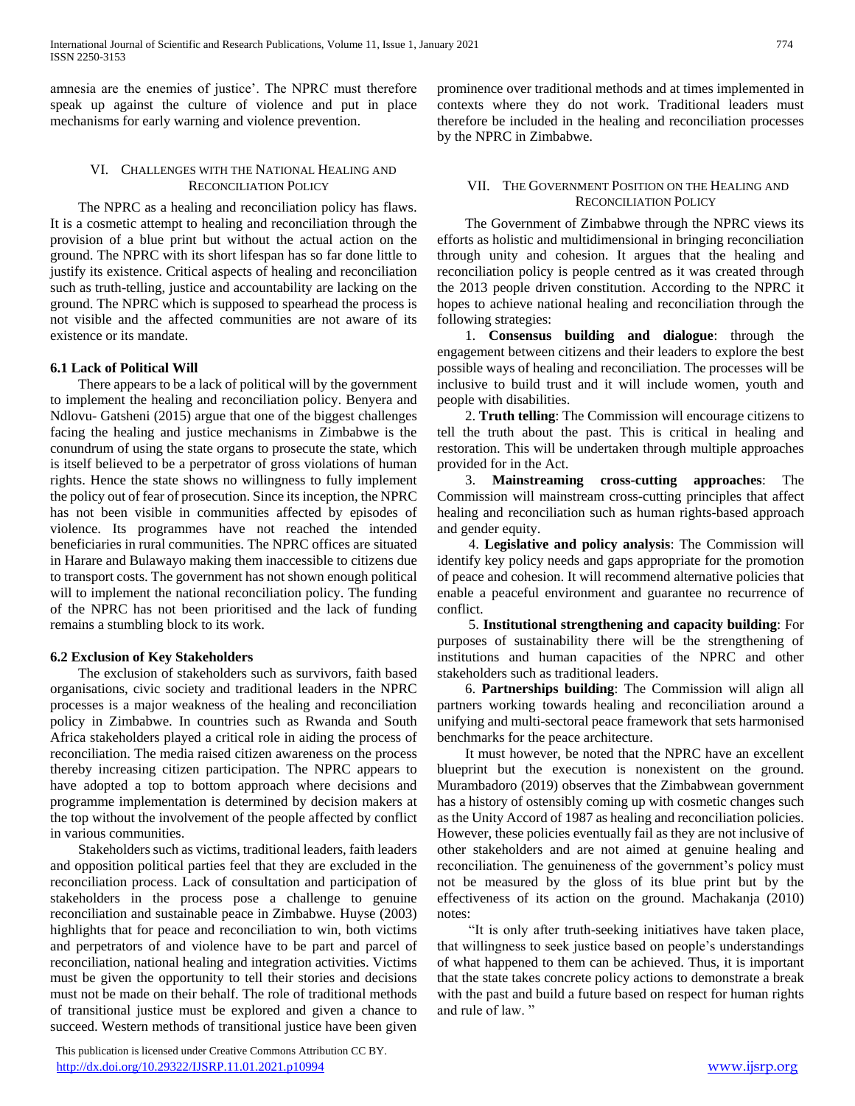amnesia are the enemies of justice'. The NPRC must therefore speak up against the culture of violence and put in place mechanisms for early warning and violence prevention.

#### VI. CHALLENGES WITH THE NATIONAL HEALING AND RECONCILIATION POLICY

 The NPRC as a healing and reconciliation policy has flaws. It is a cosmetic attempt to healing and reconciliation through the provision of a blue print but without the actual action on the ground. The NPRC with its short lifespan has so far done little to justify its existence. Critical aspects of healing and reconciliation such as truth-telling, justice and accountability are lacking on the ground. The NPRC which is supposed to spearhead the process is not visible and the affected communities are not aware of its existence or its mandate.

## **6.1 Lack of Political Will**

 There appears to be a lack of political will by the government to implement the healing and reconciliation policy. Benyera and Ndlovu- Gatsheni (2015) argue that one of the biggest challenges facing the healing and justice mechanisms in Zimbabwe is the conundrum of using the state organs to prosecute the state, which is itself believed to be a perpetrator of gross violations of human rights. Hence the state shows no willingness to fully implement the policy out of fear of prosecution. Since its inception, the NPRC has not been visible in communities affected by episodes of violence. Its programmes have not reached the intended beneficiaries in rural communities. The NPRC offices are situated in Harare and Bulawayo making them inaccessible to citizens due to transport costs. The government has not shown enough political will to implement the national reconciliation policy. The funding of the NPRC has not been prioritised and the lack of funding remains a stumbling block to its work.

## **6.2 Exclusion of Key Stakeholders**

 The exclusion of stakeholders such as survivors, faith based organisations, civic society and traditional leaders in the NPRC processes is a major weakness of the healing and reconciliation policy in Zimbabwe. In countries such as Rwanda and South Africa stakeholders played a critical role in aiding the process of reconciliation. The media raised citizen awareness on the process thereby increasing citizen participation. The NPRC appears to have adopted a top to bottom approach where decisions and programme implementation is determined by decision makers at the top without the involvement of the people affected by conflict in various communities.

 Stakeholders such as victims, traditional leaders, faith leaders and opposition political parties feel that they are excluded in the reconciliation process. Lack of consultation and participation of stakeholders in the process pose a challenge to genuine reconciliation and sustainable peace in Zimbabwe. Huyse (2003) highlights that for peace and reconciliation to win, both victims and perpetrators of and violence have to be part and parcel of reconciliation, national healing and integration activities. Victims must be given the opportunity to tell their stories and decisions must not be made on their behalf. The role of traditional methods of transitional justice must be explored and given a chance to succeed. Western methods of transitional justice have been given

 This publication is licensed under Creative Commons Attribution CC BY. <http://dx.doi.org/10.29322/IJSRP.11.01.2021.p10994> [www.ijsrp.org](http://ijsrp.org/)

prominence over traditional methods and at times implemented in contexts where they do not work. Traditional leaders must therefore be included in the healing and reconciliation processes by the NPRC in Zimbabwe.

#### VII. THE GOVERNMENT POSITION ON THE HEALING AND RECONCILIATION POLICY

 The Government of Zimbabwe through the NPRC views its efforts as holistic and multidimensional in bringing reconciliation through unity and cohesion. It argues that the healing and reconciliation policy is people centred as it was created through the 2013 people driven constitution. According to the NPRC it hopes to achieve national healing and reconciliation through the following strategies:

 1. **Consensus building and dialogue**: through the engagement between citizens and their leaders to explore the best possible ways of healing and reconciliation. The processes will be inclusive to build trust and it will include women, youth and people with disabilities.

 2. **Truth telling**: The Commission will encourage citizens to tell the truth about the past. This is critical in healing and restoration. This will be undertaken through multiple approaches provided for in the Act.

 3. **Mainstreaming cross-cutting approaches**: The Commission will mainstream cross-cutting principles that affect healing and reconciliation such as human rights-based approach and gender equity.

 4. **Legislative and policy analysis**: The Commission will identify key policy needs and gaps appropriate for the promotion of peace and cohesion. It will recommend alternative policies that enable a peaceful environment and guarantee no recurrence of conflict.

 5. **Institutional strengthening and capacity building**: For purposes of sustainability there will be the strengthening of institutions and human capacities of the NPRC and other stakeholders such as traditional leaders.

 6. **Partnerships building**: The Commission will align all partners working towards healing and reconciliation around a unifying and multi-sectoral peace framework that sets harmonised benchmarks for the peace architecture.

 It must however, be noted that the NPRC have an excellent blueprint but the execution is nonexistent on the ground. Murambadoro (2019) observes that the Zimbabwean government has a history of ostensibly coming up with cosmetic changes such as the Unity Accord of 1987 as healing and reconciliation policies. However, these policies eventually fail as they are not inclusive of other stakeholders and are not aimed at genuine healing and reconciliation. The genuineness of the government's policy must not be measured by the gloss of its blue print but by the effectiveness of its action on the ground. Machakanja (2010) notes:

 "It is only after truth-seeking initiatives have taken place, that willingness to seek justice based on people's understandings of what happened to them can be achieved. Thus, it is important that the state takes concrete policy actions to demonstrate a break with the past and build a future based on respect for human rights and rule of law. "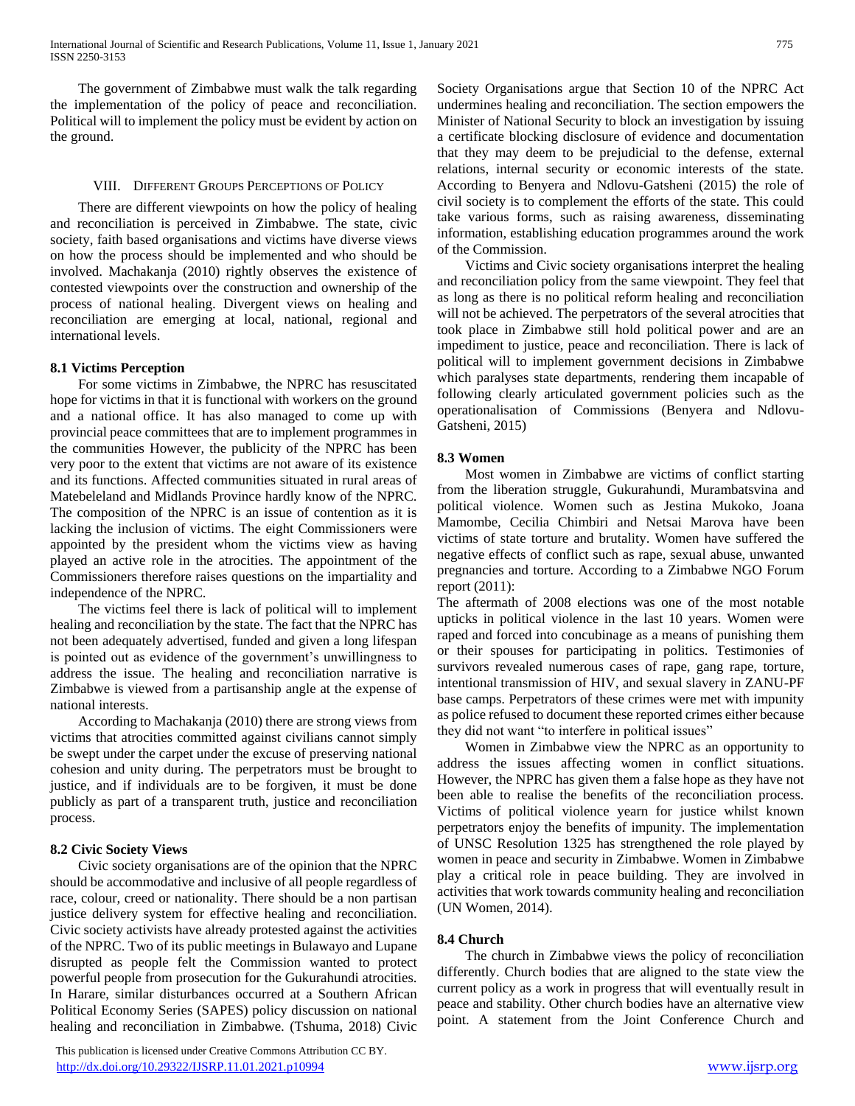The government of Zimbabwe must walk the talk regarding the implementation of the policy of peace and reconciliation. Political will to implement the policy must be evident by action on the ground.

#### VIII. DIFFERENT GROUPS PERCEPTIONS OF POLICY

 There are different viewpoints on how the policy of healing and reconciliation is perceived in Zimbabwe. The state, civic society, faith based organisations and victims have diverse views on how the process should be implemented and who should be involved. Machakanja (2010) rightly observes the existence of contested viewpoints over the construction and ownership of the process of national healing. Divergent views on healing and reconciliation are emerging at local, national, regional and international levels.

#### **8.1 Victims Perception**

 For some victims in Zimbabwe, the NPRC has resuscitated hope for victims in that it is functional with workers on the ground and a national office. It has also managed to come up with provincial peace committees that are to implement programmes in the communities However, the publicity of the NPRC has been very poor to the extent that victims are not aware of its existence and its functions. Affected communities situated in rural areas of Matebeleland and Midlands Province hardly know of the NPRC. The composition of the NPRC is an issue of contention as it is lacking the inclusion of victims. The eight Commissioners were appointed by the president whom the victims view as having played an active role in the atrocities. The appointment of the Commissioners therefore raises questions on the impartiality and independence of the NPRC.

 The victims feel there is lack of political will to implement healing and reconciliation by the state. The fact that the NPRC has not been adequately advertised, funded and given a long lifespan is pointed out as evidence of the government's unwillingness to address the issue. The healing and reconciliation narrative is Zimbabwe is viewed from a partisanship angle at the expense of national interests.

 According to Machakanja (2010) there are strong views from victims that atrocities committed against civilians cannot simply be swept under the carpet under the excuse of preserving national cohesion and unity during. The perpetrators must be brought to justice, and if individuals are to be forgiven, it must be done publicly as part of a transparent truth, justice and reconciliation process.

## **8.2 Civic Society Views**

 Civic society organisations are of the opinion that the NPRC should be accommodative and inclusive of all people regardless of race, colour, creed or nationality. There should be a non partisan justice delivery system for effective healing and reconciliation. Civic society activists have already protested against the activities of the NPRC. Two of its public meetings in Bulawayo and Lupane disrupted as people felt the Commission wanted to protect powerful people from prosecution for the Gukurahundi atrocities. In Harare, similar disturbances occurred at a Southern African Political Economy Series (SAPES) policy discussion on national healing and reconciliation in Zimbabwe. (Tshuma, 2018) Civic

 This publication is licensed under Creative Commons Attribution CC BY. <http://dx.doi.org/10.29322/IJSRP.11.01.2021.p10994> [www.ijsrp.org](http://ijsrp.org/)

Society Organisations argue that Section 10 of the NPRC Act undermines healing and reconciliation. The section empowers the Minister of National Security to block an investigation by issuing a certificate blocking disclosure of evidence and documentation that they may deem to be prejudicial to the defense, external relations, internal security or economic interests of the state. According to Benyera and Ndlovu-Gatsheni (2015) the role of civil society is to complement the efforts of the state. This could take various forms, such as raising awareness, disseminating information, establishing education programmes around the work of the Commission.

 Victims and Civic society organisations interpret the healing and reconciliation policy from the same viewpoint. They feel that as long as there is no political reform healing and reconciliation will not be achieved. The perpetrators of the several atrocities that took place in Zimbabwe still hold political power and are an impediment to justice, peace and reconciliation. There is lack of political will to implement government decisions in Zimbabwe which paralyses state departments, rendering them incapable of following clearly articulated government policies such as the operationalisation of Commissions (Benyera and Ndlovu-Gatsheni, 2015)

#### **8.3 Women**

 Most women in Zimbabwe are victims of conflict starting from the liberation struggle, Gukurahundi, Murambatsvina and political violence. Women such as Jestina Mukoko, Joana Mamombe, Cecilia Chimbiri and Netsai Marova have been victims of state torture and brutality. Women have suffered the negative effects of conflict such as rape, sexual abuse, unwanted pregnancies and torture. According to a Zimbabwe NGO Forum report (2011):

The aftermath of 2008 elections was one of the most notable upticks in political violence in the last 10 years. Women were raped and forced into concubinage as a means of punishing them or their spouses for participating in politics. Testimonies of survivors revealed numerous cases of rape, gang rape, torture, intentional transmission of HIV, and sexual slavery in ZANU-PF base camps. Perpetrators of these crimes were met with impunity as police refused to document these reported crimes either because they did not want "to interfere in political issues"

 Women in Zimbabwe view the NPRC as an opportunity to address the issues affecting women in conflict situations. However, the NPRC has given them a false hope as they have not been able to realise the benefits of the reconciliation process. Victims of political violence yearn for justice whilst known perpetrators enjoy the benefits of impunity. The implementation of UNSC Resolution 1325 has strengthened the role played by women in peace and security in Zimbabwe. Women in Zimbabwe play a critical role in peace building. They are involved in activities that work towards community healing and reconciliation (UN Women, 2014).

## **8.4 Church**

 The church in Zimbabwe views the policy of reconciliation differently. Church bodies that are aligned to the state view the current policy as a work in progress that will eventually result in peace and stability. Other church bodies have an alternative view point. A statement from the Joint Conference Church and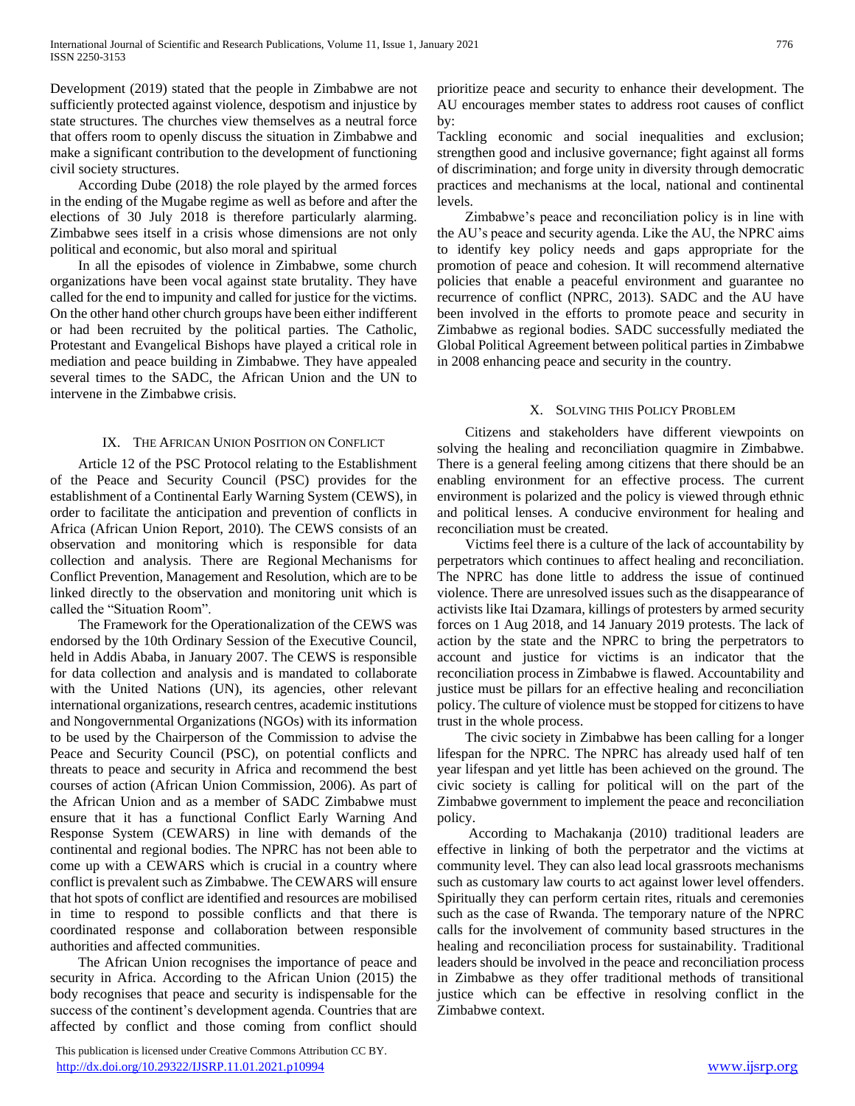Development (2019) stated that the people in Zimbabwe are not sufficiently protected against violence, despotism and injustice by state structures. The churches view themselves as a neutral force that offers room to openly discuss the situation in Zimbabwe and make a significant contribution to the development of functioning civil society structures.

 According Dube (2018) the role played by the armed forces in the ending of the Mugabe regime as well as before and after the elections of 30 July 2018 is therefore particularly alarming. Zimbabwe sees itself in a crisis whose dimensions are not only political and economic, but also moral and spiritual

 In all the episodes of violence in Zimbabwe, some church organizations have been vocal against state brutality. They have called for the end to impunity and called for justice for the victims. On the other hand other church groups have been either indifferent or had been recruited by the political parties. The Catholic, Protestant and Evangelical Bishops have played a critical role in mediation and peace building in Zimbabwe. They have appealed several times to the SADC, the African Union and the UN to intervene in the Zimbabwe crisis.

#### IX. THE AFRICAN UNION POSITION ON CONFLICT

 Article 12 of the PSC Protocol relating to the Establishment of the Peace and Security Council (PSC) provides for the establishment of a Continental Early Warning System (CEWS), in order to facilitate the anticipation and prevention of conflicts in Africa (African Union Report, 2010). The CEWS consists of an observation and monitoring which is responsible for data collection and analysis. There are Regional Mechanisms for Conflict Prevention, Management and Resolution, which are to be linked directly to the observation and monitoring unit which is called the "Situation Room".

 The Framework for the Operationalization of the CEWS was endorsed by the 10th Ordinary Session of the Executive Council, held in Addis Ababa, in January 2007. The CEWS is responsible for data collection and analysis and is mandated to collaborate with the United Nations (UN), its agencies, other relevant international organizations, research centres, academic institutions and Nongovernmental Organizations (NGOs) with its information to be used by the Chairperson of the Commission to advise the Peace and Security Council (PSC), on potential conflicts and threats to peace and security in Africa and recommend the best courses of action (African Union Commission, 2006). As part of the African Union and as a member of SADC Zimbabwe must ensure that it has a functional Conflict Early Warning And Response System (CEWARS) in line with demands of the continental and regional bodies. The NPRC has not been able to come up with a CEWARS which is crucial in a country where conflict is prevalent such as Zimbabwe. The CEWARS will ensure that hot spots of conflict are identified and resources are mobilised in time to respond to possible conflicts and that there is coordinated response and collaboration between responsible authorities and affected communities.

 The African Union recognises the importance of peace and security in Africa. According to the African Union (2015) the body recognises that peace and security is indispensable for the success of the continent's development agenda. Countries that are affected by conflict and those coming from conflict should

 This publication is licensed under Creative Commons Attribution CC BY. <http://dx.doi.org/10.29322/IJSRP.11.01.2021.p10994> [www.ijsrp.org](http://ijsrp.org/)

prioritize peace and security to enhance their development. The AU encourages member states to address root causes of conflict by:

Tackling economic and social inequalities and exclusion; strengthen good and inclusive governance; fight against all forms of discrimination; and forge unity in diversity through democratic practices and mechanisms at the local, national and continental levels.

 Zimbabwe's peace and reconciliation policy is in line with the AU's peace and security agenda. Like the AU, the NPRC aims to identify key policy needs and gaps appropriate for the promotion of peace and cohesion. It will recommend alternative policies that enable a peaceful environment and guarantee no recurrence of conflict (NPRC, 2013). SADC and the AU have been involved in the efforts to promote peace and security in Zimbabwe as regional bodies. SADC successfully mediated the Global Political Agreement between political parties in Zimbabwe in 2008 enhancing peace and security in the country.

## X. SOLVING THIS POLICY PROBLEM

 Citizens and stakeholders have different viewpoints on solving the healing and reconciliation quagmire in Zimbabwe. There is a general feeling among citizens that there should be an enabling environment for an effective process. The current environment is polarized and the policy is viewed through ethnic and political lenses. A conducive environment for healing and reconciliation must be created.

 Victims feel there is a culture of the lack of accountability by perpetrators which continues to affect healing and reconciliation. The NPRC has done little to address the issue of continued violence. There are unresolved issues such as the disappearance of activists like Itai Dzamara, killings of protesters by armed security forces on 1 Aug 2018, and 14 January 2019 protests. The lack of action by the state and the NPRC to bring the perpetrators to account and justice for victims is an indicator that the reconciliation process in Zimbabwe is flawed. Accountability and justice must be pillars for an effective healing and reconciliation policy. The culture of violence must be stopped for citizens to have trust in the whole process.

 The civic society in Zimbabwe has been calling for a longer lifespan for the NPRC. The NPRC has already used half of ten year lifespan and yet little has been achieved on the ground. The civic society is calling for political will on the part of the Zimbabwe government to implement the peace and reconciliation policy.

 According to Machakanja (2010) traditional leaders are effective in linking of both the perpetrator and the victims at community level. They can also lead local grassroots mechanisms such as customary law courts to act against lower level offenders. Spiritually they can perform certain rites, rituals and ceremonies such as the case of Rwanda. The temporary nature of the NPRC calls for the involvement of community based structures in the healing and reconciliation process for sustainability. Traditional leaders should be involved in the peace and reconciliation process in Zimbabwe as they offer traditional methods of transitional justice which can be effective in resolving conflict in the Zimbabwe context.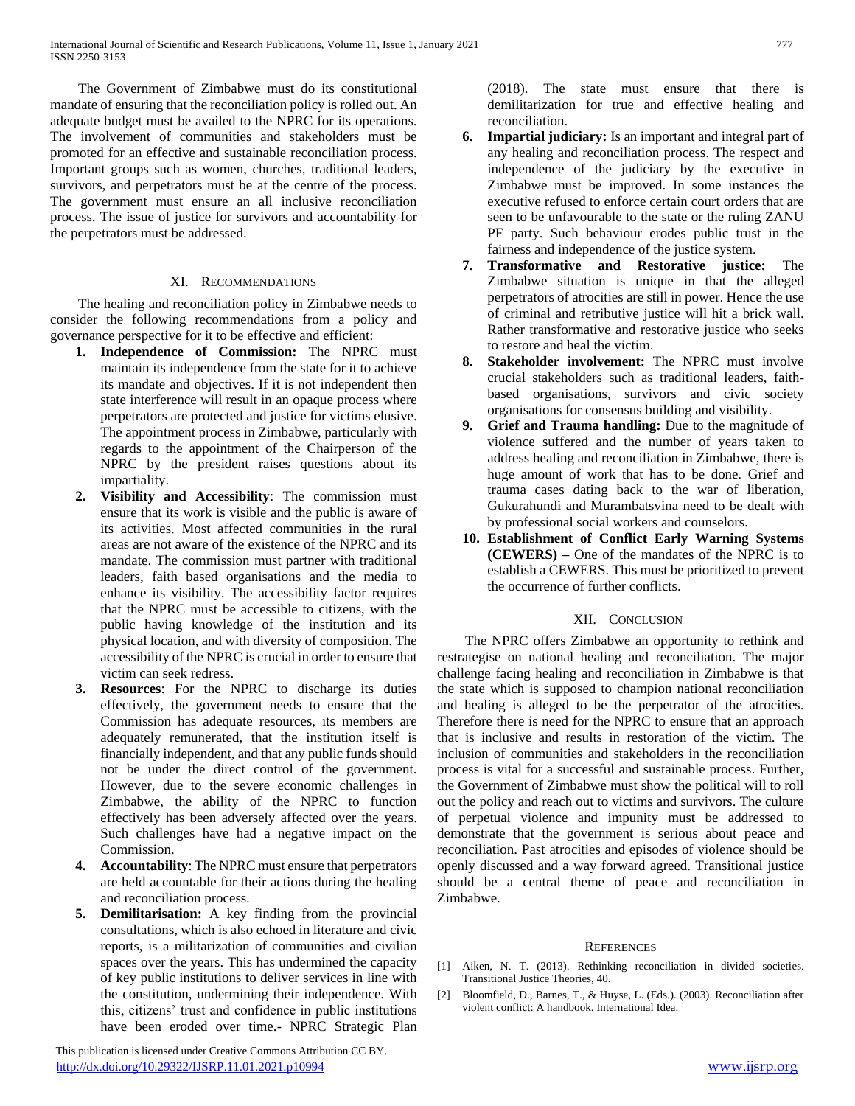The Government of Zimbabwe must do its constitutional mandate of ensuring that the reconciliation policy is rolled out. An adequate budget must be availed to the NPRC for its operations. The involvement of communities and stakeholders must be promoted for an effective and sustainable reconciliation process. Important groups such as women, churches, traditional leaders, survivors, and perpetrators must be at the centre of the process. The government must ensure an all inclusive reconciliation process. The issue of justice for survivors and accountability for the perpetrators must be addressed.

## XI. RECOMMENDATIONS

 The healing and reconciliation policy in Zimbabwe needs to consider the following recommendations from a policy and governance perspective for it to be effective and efficient:

- **1. Independence of Commission:** The NPRC must maintain its independence from the state for it to achieve its mandate and objectives. If it is not independent then state interference will result in an opaque process where perpetrators are protected and justice for victims elusive. The appointment process in Zimbabwe, particularly with regards to the appointment of the Chairperson of the NPRC by the president raises questions about its impartiality.
- **2. Visibility and Accessibility**: The commission must ensure that its work is visible and the public is aware of its activities. Most affected communities in the rural areas are not aware of the existence of the NPRC and its mandate. The commission must partner with traditional leaders, faith based organisations and the media to enhance its visibility. The accessibility factor requires that the NPRC must be accessible to citizens, with the public having knowledge of the institution and its physical location, and with diversity of composition. The accessibility of the NPRC is crucial in order to ensure that victim can seek redress.
- **3. Resources**: For the NPRC to discharge its duties effectively, the government needs to ensure that the Commission has adequate resources, its members are adequately remunerated, that the institution itself is financially independent, and that any public funds should not be under the direct control of the government. However, due to the severe economic challenges in Zimbabwe, the ability of the NPRC to function effectively has been adversely affected over the years. Such challenges have had a negative impact on the Commission.
- **4. Accountability**: The NPRC must ensure that perpetrators are held accountable for their actions during the healing and reconciliation process.
- **5. Demilitarisation:** A key finding from the provincial consultations, which is also echoed in literature and civic reports, is a militarization of communities and civilian spaces over the years. This has undermined the capacity of key public institutions to deliver services in line with the constitution, undermining their independence. With this, citizens' trust and confidence in public institutions have been eroded over time.- NPRC Strategic Plan

 This publication is licensed under Creative Commons Attribution CC BY. <http://dx.doi.org/10.29322/IJSRP.11.01.2021.p10994> [www.ijsrp.org](http://ijsrp.org/)

(2018). The state must ensure that there is demilitarization for true and effective healing and reconciliation.

- **6. Impartial judiciary:** Is an important and integral part of any healing and reconciliation process. The respect and independence of the judiciary by the executive in Zimbabwe must be improved. In some instances the executive refused to enforce certain court orders that are seen to be unfavourable to the state or the ruling ZANU PF party. Such behaviour erodes public trust in the fairness and independence of the justice system.
- **7. Transformative and Restorative justice:** The Zimbabwe situation is unique in that the alleged perpetrators of atrocities are still in power. Hence the use of criminal and retributive justice will hit a brick wall. Rather transformative and restorative justice who seeks to restore and heal the victim.
- **8. Stakeholder involvement:** The NPRC must involve crucial stakeholders such as traditional leaders, faithbased organisations, survivors and civic society organisations for consensus building and visibility.
- **9. Grief and Trauma handling:** Due to the magnitude of violence suffered and the number of years taken to address healing and reconciliation in Zimbabwe, there is huge amount of work that has to be done. Grief and trauma cases dating back to the war of liberation, Gukurahundi and Murambatsvina need to be dealt with by professional social workers and counselors.
- **10. Establishment of Conflict Early Warning Systems (CEWERS) –** One of the mandates of the NPRC is to establish a CEWERS. This must be prioritized to prevent the occurrence of further conflicts.

# XII. CONCLUSION

 The NPRC offers Zimbabwe an opportunity to rethink and restrategise on national healing and reconciliation. The major challenge facing healing and reconciliation in Zimbabwe is that the state which is supposed to champion national reconciliation and healing is alleged to be the perpetrator of the atrocities. Therefore there is need for the NPRC to ensure that an approach that is inclusive and results in restoration of the victim. The inclusion of communities and stakeholders in the reconciliation process is vital for a successful and sustainable process. Further, the Government of Zimbabwe must show the political will to roll out the policy and reach out to victims and survivors. The culture of perpetual violence and impunity must be addressed to demonstrate that the government is serious about peace and reconciliation. Past atrocities and episodes of violence should be openly discussed and a way forward agreed. Transitional justice should be a central theme of peace and reconciliation in Zimbabwe.

## **REFERENCES**

- [1] Aiken, N. T. (2013). Rethinking reconciliation in divided societies. Transitional Justice Theories, 40.
- [2] Bloomfield, D., Barnes, T., & Huyse, L. (Eds.). (2003). Reconciliation after violent conflict: A handbook. International Idea.